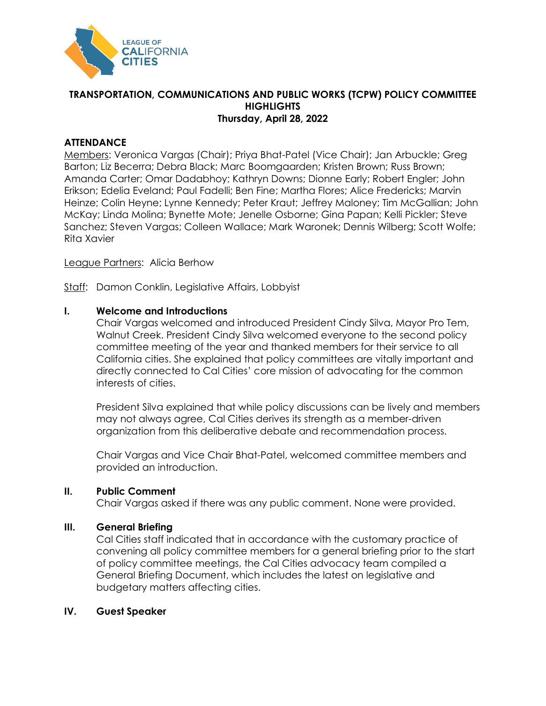

## **TRANSPORTATION, COMMUNICATIONS AND PUBLIC WORKS (TCPW) POLICY COMMITTEE HIGHLIGHTS Thursday, April 28, 2022**

# **ATTENDANCE**

Members: Veronica Vargas (Chair); Priya Bhat-Patel (Vice Chair); Jan Arbuckle; Greg Barton; Liz Becerra; Debra Black; Marc Boomgaarden; Kristen Brown; Russ Brown; Amanda Carter; Omar Dadabhoy; Kathryn Downs; Dionne Early; Robert Engler; John Erikson; Edelia Eveland; Paul Fadelli; Ben Fine; Martha Flores; Alice Fredericks; Marvin Heinze; Colin Heyne; Lynne Kennedy; Peter Kraut; Jeffrey Maloney; Tim McGallian; John McKay; Linda Molina; Bynette Mote; Jenelle Osborne; Gina Papan; Kelli Pickler; Steve Sanchez; Steven Vargas; Colleen Wallace; Mark Waronek; Dennis Wilberg; Scott Wolfe; Rita Xavier

League Partners: Alicia Berhow

Staff: Damon Conklin, Legislative Affairs, Lobbyist

### **I. Welcome and Introductions**

Chair Vargas welcomed and introduced President Cindy Silva, Mayor Pro Tem, Walnut Creek. President Cindy Silva welcomed everyone to the second policy committee meeting of the year and thanked members for their service to all California cities. She explained that policy committees are vitally important and directly connected to Cal Cities' core mission of advocating for the common interests of cities.

President Silva explained that while policy discussions can be lively and members may not always agree, Cal Cities derives its strength as a member-driven organization from this deliberative debate and recommendation process.

Chair Vargas and Vice Chair Bhat-Patel, welcomed committee members and provided an introduction.

#### **II. Public Comment**

Chair Vargas asked if there was any public comment. None were provided.

## **III. General Briefing**

Cal Cities staff indicated that in accordance with the customary practice of convening all policy committee members for a general briefing prior to the start of policy committee meetings, the Cal Cities advocacy team compiled a General Briefing Document, which includes the latest on legislative and budgetary matters affecting cities.

#### **IV. Guest Speaker**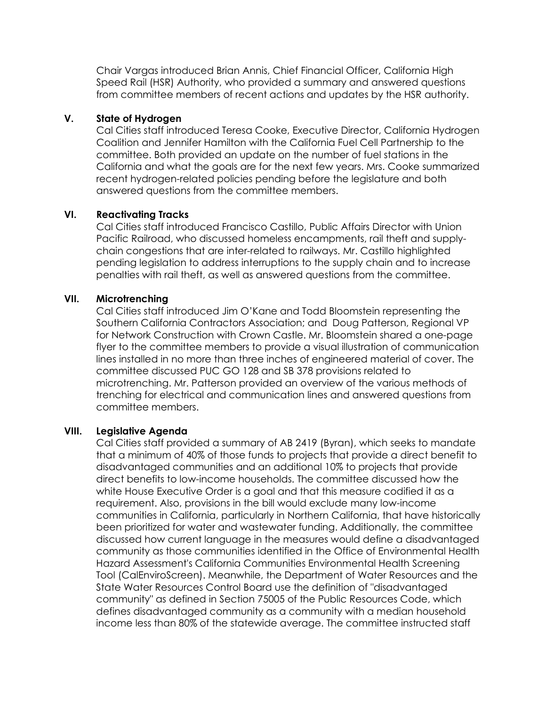Chair Vargas introduced Brian Annis, Chief Financial Officer, California High Speed Rail (HSR) Authority, who provided a summary and answered questions from committee members of recent actions and updates by the HSR authority.

### **V. State of Hydrogen**

Cal Cities staff introduced Teresa Cooke, Executive Director, California Hydrogen Coalition and Jennifer Hamilton with the California Fuel Cell Partnership to the committee. Both provided an update on the number of fuel stations in the California and what the goals are for the next few years. Mrs. Cooke summarized recent hydrogen-related policies pending before the legislature and both answered questions from the committee members.

### **VI. Reactivating Tracks**

Cal Cities staff introduced Francisco Castillo, Public Affairs Director with Union Pacific Railroad, who discussed homeless encampments, rail theft and supplychain congestions that are inter-related to railways. Mr. Castillo highlighted pending legislation to address interruptions to the supply chain and to increase penalties with rail theft, as well as answered questions from the committee.

### **VII. Microtrenching**

Cal Cities staff introduced Jim O'Kane and Todd Bloomstein representing the Southern California Contractors Association; and Doug Patterson, Regional VP for Network Construction with Crown Castle. Mr. Bloomstein shared a one-page flyer to the committee members to provide a visual illustration of communication lines installed in no more than three inches of engineered material of cover. The committee discussed PUC GO 128 and SB 378 provisions related to microtrenching. Mr. Patterson provided an overview of the various methods of trenching for electrical and communication lines and answered questions from committee members.

#### **VIII. Legislative Agenda**

Cal Cities staff provided a summary of AB 2419 (Byran), which seeks to mandate that a minimum of 40% of those funds to projects that provide a direct benefit to disadvantaged communities and an additional 10% to projects that provide direct benefits to low-income households. The committee discussed how the white House Executive Order is a goal and that this measure codified it as a requirement. Also, provisions in the bill would exclude many low-income communities in California, particularly in Northern California, that have historically been prioritized for water and wastewater funding. Additionally, the committee discussed how current language in the measures would define a disadvantaged community as those communities identified in the Office of Environmental Health Hazard Assessment's California Communities Environmental Health Screening Tool (CalEnviroScreen). Meanwhile, the Department of Water Resources and the State Water Resources Control Board use the definition of "disadvantaged community" as defined in Section 75005 of the Public Resources Code, which defines disadvantaged community as a community with a median household income less than 80% of the statewide average. The committee instructed staff